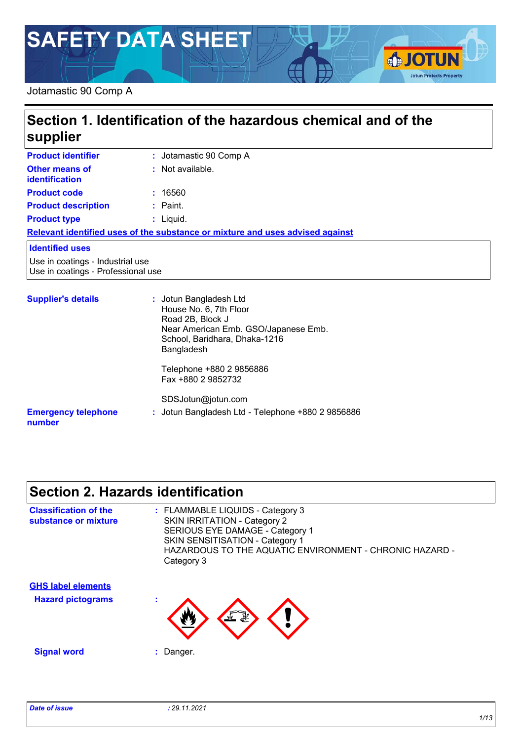# **SAFETY DATA SHEET**

#### Jotamastic 90 Comp A

# **Section 1. Identification of the hazardous chemical and of the supplier**

| <b>Product identifier</b>                                              | : Jotamastic 90 Comp A                                                                                                                                      |
|------------------------------------------------------------------------|-------------------------------------------------------------------------------------------------------------------------------------------------------------|
| Other means of<br><b>identification</b>                                | : Not available.                                                                                                                                            |
| <b>Product code</b>                                                    | : 16560                                                                                                                                                     |
| <b>Product description</b>                                             | $:$ Paint.                                                                                                                                                  |
| <b>Product type</b>                                                    | $:$ Liquid.                                                                                                                                                 |
|                                                                        | Relevant identified uses of the substance or mixture and uses advised against                                                                               |
| <b>Identified uses</b>                                                 |                                                                                                                                                             |
| Use in coatings - Industrial use<br>Use in coatings - Professional use |                                                                                                                                                             |
| <b>Supplier's details</b>                                              | : Jotun Bangladesh Ltd<br>House No. 6, 7th Floor<br>Road 2B, Block J<br>Near American Emb. GSO/Japanese Emb.<br>School, Baridhara, Dhaka-1216<br>Bangladesh |

**:** Jotun Bangladesh Ltd - Telephone +880 2 9856886

Telephone +880 2 9856886 Fax +880 2 9852732 SDSJotun@jotun.com

#### **Emergency telephone number**

# **Section 2. Hazards identification**

| <b>Classification of the</b><br>substance or mixture | : FLAMMABLE LIQUIDS - Category 3<br><b>SKIN IRRITATION - Category 2</b><br>SERIOUS EYE DAMAGE - Category 1<br>SKIN SENSITISATION - Category 1<br>HAZARDOUS TO THE AQUATIC ENVIRONMENT - CHRONIC HAZARD -<br>Category 3                                                                                         |
|------------------------------------------------------|----------------------------------------------------------------------------------------------------------------------------------------------------------------------------------------------------------------------------------------------------------------------------------------------------------------|
| <b>GHS label elements</b>                            |                                                                                                                                                                                                                                                                                                                |
| <b>Hazard pictograms</b>                             | ٠<br>$\sum_{i=1}^n\sum_{j=1}^n\sum_{j=1}^n\sum_{j=1}^n\sum_{j=1}^n\sum_{j=1}^n\sum_{j=1}^n\sum_{j=1}^n\sum_{j=1}^n\sum_{j=1}^n\sum_{j=1}^n\sum_{j=1}^n\sum_{j=1}^n\sum_{j=1}^n\sum_{j=1}^n\sum_{j=1}^n\sum_{j=1}^n\sum_{j=1}^n\sum_{j=1}^n\sum_{j=1}^n\sum_{j=1}^n\sum_{j=1}^n\sum_{j=1}^n\sum_{j=1}^n\sum_{j$ |
| <b>Signal word</b>                                   | Danger.<br>٠                                                                                                                                                                                                                                                                                                   |

**SJOTUN** 

**Jotun Protects Property**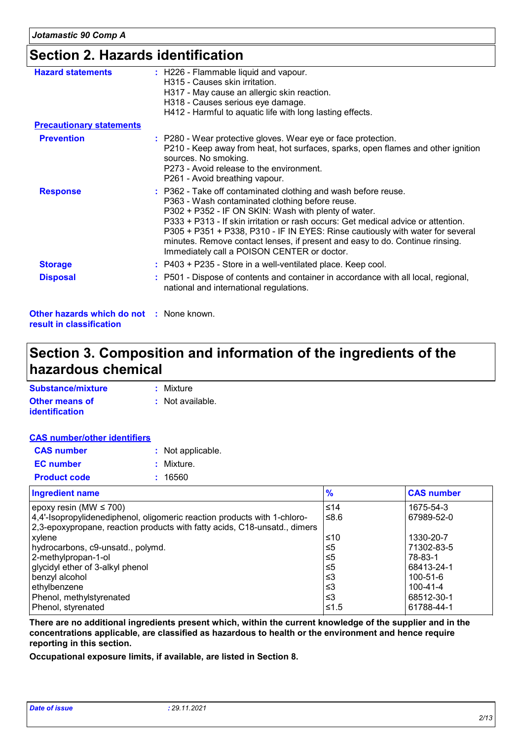## **Section 2. Hazards identification**

| <b>Hazard statements</b>                                                    | : H226 - Flammable liquid and vapour.<br>H315 - Causes skin irritation.<br>H317 - May cause an allergic skin reaction.<br>H318 - Causes serious eye damage.<br>H412 - Harmful to aquatic life with long lasting effects.                                                                                                                                                                                                                                                        |
|-----------------------------------------------------------------------------|---------------------------------------------------------------------------------------------------------------------------------------------------------------------------------------------------------------------------------------------------------------------------------------------------------------------------------------------------------------------------------------------------------------------------------------------------------------------------------|
| <b>Precautionary statements</b>                                             |                                                                                                                                                                                                                                                                                                                                                                                                                                                                                 |
| <b>Prevention</b>                                                           | : P280 - Wear protective gloves. Wear eye or face protection.<br>P210 - Keep away from heat, hot surfaces, sparks, open flames and other ignition<br>sources. No smoking.<br>P273 - Avoid release to the environment.<br>P261 - Avoid breathing vapour.                                                                                                                                                                                                                         |
| <b>Response</b>                                                             | : P362 - Take off contaminated clothing and wash before reuse.<br>P363 - Wash contaminated clothing before reuse.<br>P302 + P352 - IF ON SKIN: Wash with plenty of water.<br>P333 + P313 - If skin irritation or rash occurs: Get medical advice or attention.<br>P305 + P351 + P338, P310 - IF IN EYES: Rinse cautiously with water for several<br>minutes. Remove contact lenses, if present and easy to do. Continue rinsing.<br>Immediately call a POISON CENTER or doctor. |
| <b>Storage</b>                                                              | : P403 + P235 - Store in a well-ventilated place. Keep cool.                                                                                                                                                                                                                                                                                                                                                                                                                    |
| <b>Disposal</b>                                                             | : P501 - Dispose of contents and container in accordance with all local, regional,<br>national and international regulations.                                                                                                                                                                                                                                                                                                                                                   |
| <b>Other hazards which do not : None known.</b><br>result in classification |                                                                                                                                                                                                                                                                                                                                                                                                                                                                                 |

### **Section 3. Composition and information of the ingredients of the hazardous chemical**

| Substance/mixture     | : Mixture        |
|-----------------------|------------------|
| <b>Other means of</b> | : Not available. |
| <i>identification</i> |                  |

#### **CAS number/other identifiers**

| <b>CAS number</b>   | : Not applicable. |
|---------------------|-------------------|
| <b>EC</b> number    | : Mixture.        |
| <b>Product code</b> | : 16560           |

| <b>Ingredient name</b>                                                    | $\frac{9}{6}$ | <b>CAS number</b> |
|---------------------------------------------------------------------------|---------------|-------------------|
| epoxy resin (MW $\leq$ 700)                                               | ≤14           | 1675-54-3         |
| 4,4'-Isopropylidenediphenol, oligomeric reaction products with 1-chloro-  | ≤ $8.6$       | 67989-52-0        |
| 2,3-epoxypropane, reaction products with fatty acids, C18-unsatd., dimers |               |                   |
| xylene                                                                    | ≤10           | 1330-20-7         |
| hydrocarbons, c9-unsatd., polymd.                                         | ≤5            | 71302-83-5        |
| 2-methylpropan-1-ol                                                       | ≤5            | 78-83-1           |
| glycidyl ether of 3-alkyl phenol                                          | $\leq 5$      | 68413-24-1        |
| benzyl alcohol                                                            | ≤3            | 100-51-6          |
| ethylbenzene                                                              | ≤3            | 100-41-4          |
| Phenol, methylstyrenated                                                  | $\leq$ 3      | 68512-30-1        |
| Phenol, styrenated                                                        | ≤1.5          | 61788-44-1        |

**There are no additional ingredients present which, within the current knowledge of the supplier and in the concentrations applicable, are classified as hazardous to health or the environment and hence require reporting in this section.**

**Occupational exposure limits, if available, are listed in Section 8.**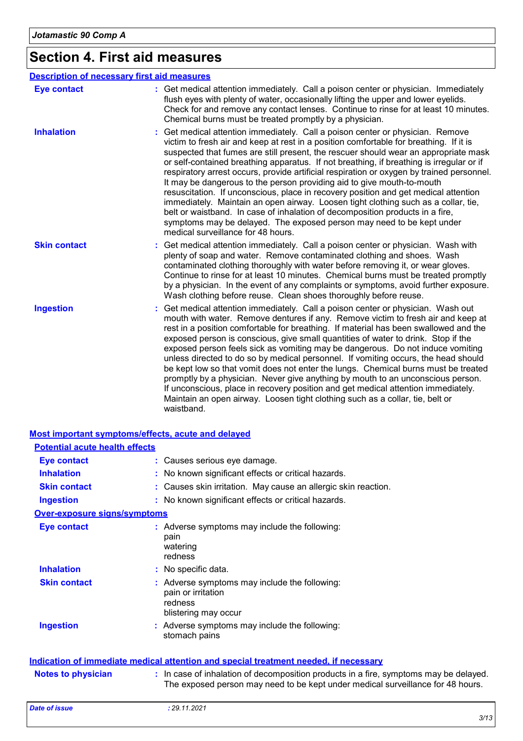# **Section 4. First aid measures**

|                     | <b>Description of necessary first aid measures</b>                                                                                                                                                                                                                                                                                                                                                                                                                                                                                                                                                                                                                                                                                                                                                                                                                                                            |
|---------------------|---------------------------------------------------------------------------------------------------------------------------------------------------------------------------------------------------------------------------------------------------------------------------------------------------------------------------------------------------------------------------------------------------------------------------------------------------------------------------------------------------------------------------------------------------------------------------------------------------------------------------------------------------------------------------------------------------------------------------------------------------------------------------------------------------------------------------------------------------------------------------------------------------------------|
| <b>Eye contact</b>  | : Get medical attention immediately. Call a poison center or physician. Immediately<br>flush eyes with plenty of water, occasionally lifting the upper and lower eyelids.<br>Check for and remove any contact lenses. Continue to rinse for at least 10 minutes.<br>Chemical burns must be treated promptly by a physician.                                                                                                                                                                                                                                                                                                                                                                                                                                                                                                                                                                                   |
| <b>Inhalation</b>   | Get medical attention immediately. Call a poison center or physician. Remove<br>victim to fresh air and keep at rest in a position comfortable for breathing. If it is<br>suspected that fumes are still present, the rescuer should wear an appropriate mask<br>or self-contained breathing apparatus. If not breathing, if breathing is irregular or if<br>respiratory arrest occurs, provide artificial respiration or oxygen by trained personnel.<br>It may be dangerous to the person providing aid to give mouth-to-mouth<br>resuscitation. If unconscious, place in recovery position and get medical attention<br>immediately. Maintain an open airway. Loosen tight clothing such as a collar, tie,<br>belt or waistband. In case of inhalation of decomposition products in a fire,<br>symptoms may be delayed. The exposed person may need to be kept under<br>medical surveillance for 48 hours. |
| <b>Skin contact</b> | Get medical attention immediately. Call a poison center or physician. Wash with<br>plenty of soap and water. Remove contaminated clothing and shoes. Wash<br>contaminated clothing thoroughly with water before removing it, or wear gloves.<br>Continue to rinse for at least 10 minutes. Chemical burns must be treated promptly<br>by a physician. In the event of any complaints or symptoms, avoid further exposure.<br>Wash clothing before reuse. Clean shoes thoroughly before reuse.                                                                                                                                                                                                                                                                                                                                                                                                                 |
| <b>Ingestion</b>    | Get medical attention immediately. Call a poison center or physician. Wash out<br>mouth with water. Remove dentures if any. Remove victim to fresh air and keep at<br>rest in a position comfortable for breathing. If material has been swallowed and the<br>exposed person is conscious, give small quantities of water to drink. Stop if the<br>exposed person feels sick as vomiting may be dangerous. Do not induce vomiting<br>unless directed to do so by medical personnel. If vomiting occurs, the head should<br>be kept low so that vomit does not enter the lungs. Chemical burns must be treated<br>promptly by a physician. Never give anything by mouth to an unconscious person.<br>If unconscious, place in recovery position and get medical attention immediately.<br>Maintain an open airway. Loosen tight clothing such as a collar, tie, belt or<br>waistband.                          |

#### **Most important symptoms/effects, acute and delayed**

| <b>Potential acute health effects</b> |                                                                                                                                                                          |
|---------------------------------------|--------------------------------------------------------------------------------------------------------------------------------------------------------------------------|
| <b>Eye contact</b>                    | : Causes serious eye damage.                                                                                                                                             |
| <b>Inhalation</b>                     | : No known significant effects or critical hazards.                                                                                                                      |
| <b>Skin contact</b>                   | : Causes skin irritation. May cause an allergic skin reaction.                                                                                                           |
| <b>Ingestion</b>                      | : No known significant effects or critical hazards.                                                                                                                      |
| <b>Over-exposure signs/symptoms</b>   |                                                                                                                                                                          |
| <b>Eye contact</b>                    | : Adverse symptoms may include the following:<br>pain<br>watering<br>redness                                                                                             |
| <b>Inhalation</b>                     | : No specific data.                                                                                                                                                      |
| <b>Skin contact</b>                   | : Adverse symptoms may include the following:<br>pain or irritation<br>redness<br>blistering may occur                                                                   |
| <b>Ingestion</b>                      | : Adverse symptoms may include the following:<br>stomach pains                                                                                                           |
|                                       | Indication of immediate medical attention and special treatment needed, if necessary                                                                                     |
| <b>Notes to physician</b>             | : In case of inhalation of decomposition products in a fire, symptoms may be delayed.<br>The exposed person may need to be kept under medical surveillance for 48 hours. |
| <b>Date of issue</b>                  | : 29.11.2021                                                                                                                                                             |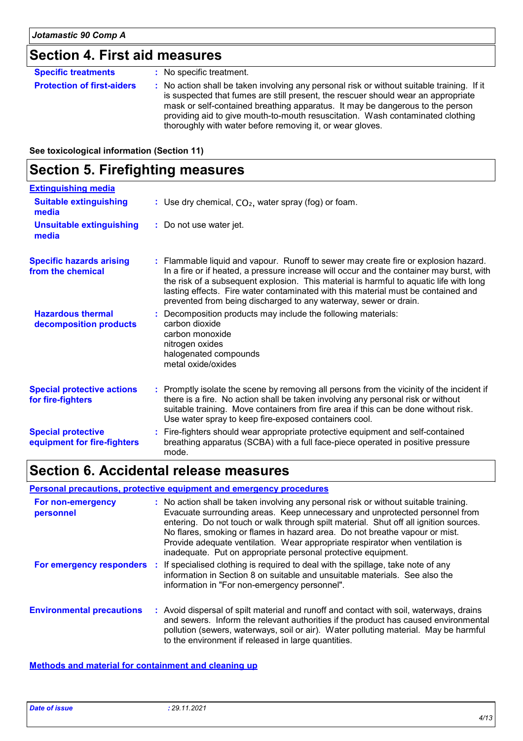# **Section 4. First aid measures**

| <b>Specific treatments</b>        | : No specific treatment.                                                                                                                                                                                                                                                                                                                                                                                        |
|-----------------------------------|-----------------------------------------------------------------------------------------------------------------------------------------------------------------------------------------------------------------------------------------------------------------------------------------------------------------------------------------------------------------------------------------------------------------|
| <b>Protection of first-aiders</b> | : No action shall be taken involving any personal risk or without suitable training. If it<br>is suspected that fumes are still present, the rescuer should wear an appropriate<br>mask or self-contained breathing apparatus. It may be dangerous to the person<br>providing aid to give mouth-to-mouth resuscitation. Wash contaminated clothing<br>thoroughly with water before removing it, or wear gloves. |

**See toxicological information (Section 11)**

### **Section 5. Firefighting measures**

| <b>Extinguishing media</b>                               |                                                                                                                                                                                                                                                                                                                                                                                                                                    |
|----------------------------------------------------------|------------------------------------------------------------------------------------------------------------------------------------------------------------------------------------------------------------------------------------------------------------------------------------------------------------------------------------------------------------------------------------------------------------------------------------|
| <b>Suitable extinguishing</b><br>media                   | : Use dry chemical, $CO2$ , water spray (fog) or foam.                                                                                                                                                                                                                                                                                                                                                                             |
| <b>Unsuitable extinguishing</b><br>media                 | : Do not use water jet.                                                                                                                                                                                                                                                                                                                                                                                                            |
| <b>Specific hazards arising</b><br>from the chemical     | : Flammable liquid and vapour. Runoff to sewer may create fire or explosion hazard.<br>In a fire or if heated, a pressure increase will occur and the container may burst, with<br>the risk of a subsequent explosion. This material is harmful to aquatic life with long<br>lasting effects. Fire water contaminated with this material must be contained and<br>prevented from being discharged to any waterway, sewer or drain. |
| <b>Hazardous thermal</b><br>decomposition products       | : Decomposition products may include the following materials:<br>carbon dioxide<br>carbon monoxide<br>nitrogen oxides<br>halogenated compounds<br>metal oxide/oxides                                                                                                                                                                                                                                                               |
| <b>Special protective actions</b><br>for fire-fighters   | : Promptly isolate the scene by removing all persons from the vicinity of the incident if<br>there is a fire. No action shall be taken involving any personal risk or without<br>suitable training. Move containers from fire area if this can be done without risk.<br>Use water spray to keep fire-exposed containers cool.                                                                                                      |
| <b>Special protective</b><br>equipment for fire-fighters | : Fire-fighters should wear appropriate protective equipment and self-contained<br>breathing apparatus (SCBA) with a full face-piece operated in positive pressure<br>mode.                                                                                                                                                                                                                                                        |

## **Section 6. Accidental release measures**

#### **Personal precautions, protective equipment and emergency procedures**

| For non-emergency<br>personnel   | : No action shall be taken involving any personal risk or without suitable training.<br>Evacuate surrounding areas. Keep unnecessary and unprotected personnel from<br>entering. Do not touch or walk through spilt material. Shut off all ignition sources.<br>No flares, smoking or flames in hazard area. Do not breathe vapour or mist.<br>Provide adequate ventilation. Wear appropriate respirator when ventilation is<br>inadequate. Put on appropriate personal protective equipment. |
|----------------------------------|-----------------------------------------------------------------------------------------------------------------------------------------------------------------------------------------------------------------------------------------------------------------------------------------------------------------------------------------------------------------------------------------------------------------------------------------------------------------------------------------------|
|                                  | For emergency responders : If specialised clothing is required to deal with the spillage, take note of any<br>information in Section 8 on suitable and unsuitable materials. See also the<br>information in "For non-emergency personnel".                                                                                                                                                                                                                                                    |
| <b>Environmental precautions</b> | : Avoid dispersal of spilt material and runoff and contact with soil, waterways, drains<br>and sewers. Inform the relevant authorities if the product has caused environmental<br>pollution (sewers, waterways, soil or air). Water polluting material. May be harmful<br>to the environment if released in large quantities.                                                                                                                                                                 |

#### **Methods and material for containment and cleaning up**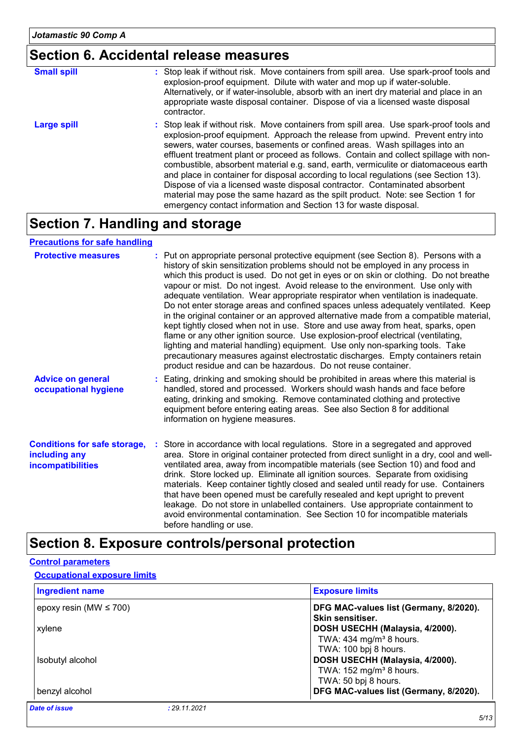# **Section 6. Accidental release measures**

| <b>Small spill</b> | : Stop leak if without risk. Move containers from spill area. Use spark-proof tools and<br>explosion-proof equipment. Dilute with water and mop up if water-soluble.<br>Alternatively, or if water-insoluble, absorb with an inert dry material and place in an<br>appropriate waste disposal container. Dispose of via a licensed waste disposal<br>contractor.                                                                                                                                                                                                                                                                                                                                                                                                        |
|--------------------|-------------------------------------------------------------------------------------------------------------------------------------------------------------------------------------------------------------------------------------------------------------------------------------------------------------------------------------------------------------------------------------------------------------------------------------------------------------------------------------------------------------------------------------------------------------------------------------------------------------------------------------------------------------------------------------------------------------------------------------------------------------------------|
| <b>Large spill</b> | : Stop leak if without risk. Move containers from spill area. Use spark-proof tools and<br>explosion-proof equipment. Approach the release from upwind. Prevent entry into<br>sewers, water courses, basements or confined areas. Wash spillages into an<br>effluent treatment plant or proceed as follows. Contain and collect spillage with non-<br>combustible, absorbent material e.g. sand, earth, vermiculite or diatomaceous earth<br>and place in container for disposal according to local regulations (see Section 13).<br>Dispose of via a licensed waste disposal contractor. Contaminated absorbent<br>material may pose the same hazard as the spilt product. Note: see Section 1 for<br>emergency contact information and Section 13 for waste disposal. |

## **Section 7. Handling and storage**

#### **Precautions for safe handling**

| <b>Protective measures</b>                                                       | : Put on appropriate personal protective equipment (see Section 8). Persons with a<br>history of skin sensitization problems should not be employed in any process in<br>which this product is used. Do not get in eyes or on skin or clothing. Do not breathe<br>vapour or mist. Do not ingest. Avoid release to the environment. Use only with<br>adequate ventilation. Wear appropriate respirator when ventilation is inadequate.<br>Do not enter storage areas and confined spaces unless adequately ventilated. Keep<br>in the original container or an approved alternative made from a compatible material,<br>kept tightly closed when not in use. Store and use away from heat, sparks, open<br>flame or any other ignition source. Use explosion-proof electrical (ventilating,<br>lighting and material handling) equipment. Use only non-sparking tools. Take<br>precautionary measures against electrostatic discharges. Empty containers retain<br>product residue and can be hazardous. Do not reuse container. |
|----------------------------------------------------------------------------------|---------------------------------------------------------------------------------------------------------------------------------------------------------------------------------------------------------------------------------------------------------------------------------------------------------------------------------------------------------------------------------------------------------------------------------------------------------------------------------------------------------------------------------------------------------------------------------------------------------------------------------------------------------------------------------------------------------------------------------------------------------------------------------------------------------------------------------------------------------------------------------------------------------------------------------------------------------------------------------------------------------------------------------|
| <b>Advice on general</b><br>occupational hygiene                                 | : Eating, drinking and smoking should be prohibited in areas where this material is<br>handled, stored and processed. Workers should wash hands and face before<br>eating, drinking and smoking. Remove contaminated clothing and protective<br>equipment before entering eating areas. See also Section 8 for additional<br>information on hygiene measures.                                                                                                                                                                                                                                                                                                                                                                                                                                                                                                                                                                                                                                                                   |
| <b>Conditions for safe storage,</b><br>including any<br><b>incompatibilities</b> | : Store in accordance with local regulations. Store in a segregated and approved<br>area. Store in original container protected from direct sunlight in a dry, cool and well-<br>ventilated area, away from incompatible materials (see Section 10) and food and<br>drink. Store locked up. Eliminate all ignition sources. Separate from oxidising<br>materials. Keep container tightly closed and sealed until ready for use. Containers<br>that have been opened must be carefully resealed and kept upright to prevent<br>leakage. Do not store in unlabelled containers. Use appropriate containment to<br>avoid environmental contamination. See Section 10 for incompatible materials<br>before handling or use.                                                                                                                                                                                                                                                                                                         |

## **Section 8. Exposure controls/personal protection**

#### **Control parameters**

#### **Occupational exposure limits**

| <b>Ingredient name</b>               | <b>Exposure limits</b>                                     |
|--------------------------------------|------------------------------------------------------------|
| epoxy resin (MW $\leq$ 700)          | DFG MAC-values list (Germany, 8/2020).<br>Skin sensitiser. |
| xylene                               | DOSH USECHH (Malaysia, 4/2000).                            |
|                                      | TWA: 434 mg/m <sup>3</sup> 8 hours.                        |
|                                      | TWA: 100 bpj 8 hours.                                      |
| Isobutyl alcohol                     | DOSH USECHH (Malaysia, 4/2000).                            |
|                                      | TWA: $152$ mg/m <sup>3</sup> 8 hours.                      |
|                                      | TWA: 50 bpj 8 hours.                                       |
| benzyl alcohol                       | DFG MAC-values list (Germany, 8/2020).                     |
| <b>Date of issue</b><br>: 29.11.2021 |                                                            |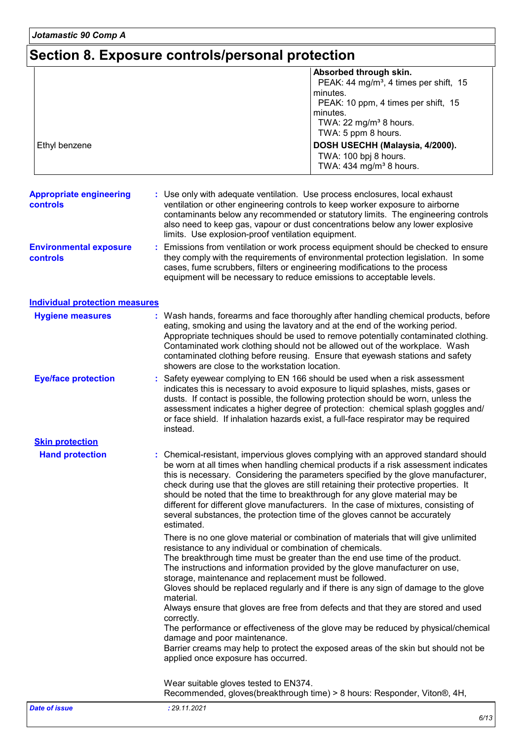*Jotamastic 90 Comp A*

# **Section 8. Exposure controls/personal protection**

| Ethyl benzene                              | Absorbed through skin.<br>PEAK: 44 mg/m <sup>3</sup> , 4 times per shift, 15<br>minutes.<br>PEAK: 10 ppm, 4 times per shift, 15<br>minutes.<br>TWA: 22 mg/m <sup>3</sup> 8 hours.<br>TWA: 5 ppm 8 hours.<br>DOSH USECHH (Malaysia, 4/2000).<br>TWA: 100 bpj 8 hours.<br>TWA: 434 mg/m <sup>3</sup> 8 hours.                                                                                                                                                                                                                                                                                                               |
|--------------------------------------------|---------------------------------------------------------------------------------------------------------------------------------------------------------------------------------------------------------------------------------------------------------------------------------------------------------------------------------------------------------------------------------------------------------------------------------------------------------------------------------------------------------------------------------------------------------------------------------------------------------------------------|
| <b>Appropriate engineering</b><br>controls | Use only with adequate ventilation. Use process enclosures, local exhaust<br>ventilation or other engineering controls to keep worker exposure to airborne<br>contaminants below any recommended or statutory limits. The engineering controls<br>also need to keep gas, vapour or dust concentrations below any lower explosive<br>limits. Use explosion-proof ventilation equipment.                                                                                                                                                                                                                                    |
| <b>Environmental exposure</b><br>controls  | Emissions from ventilation or work process equipment should be checked to ensure<br>they comply with the requirements of environmental protection legislation. In some<br>cases, fume scrubbers, filters or engineering modifications to the process<br>equipment will be necessary to reduce emissions to acceptable levels.                                                                                                                                                                                                                                                                                             |
| <b>Individual protection measures</b>      |                                                                                                                                                                                                                                                                                                                                                                                                                                                                                                                                                                                                                           |
| <b>Hygiene measures</b>                    | : Wash hands, forearms and face thoroughly after handling chemical products, before<br>eating, smoking and using the lavatory and at the end of the working period.<br>Appropriate techniques should be used to remove potentially contaminated clothing.<br>Contaminated work clothing should not be allowed out of the workplace. Wash<br>contaminated clothing before reusing. Ensure that eyewash stations and safety<br>showers are close to the workstation location.                                                                                                                                               |
| <b>Eye/face protection</b>                 | : Safety eyewear complying to EN 166 should be used when a risk assessment<br>indicates this is necessary to avoid exposure to liquid splashes, mists, gases or<br>dusts. If contact is possible, the following protection should be worn, unless the<br>assessment indicates a higher degree of protection: chemical splash goggles and/<br>or face shield. If inhalation hazards exist, a full-face respirator may be required<br>instead.                                                                                                                                                                              |
| <b>Skin protection</b>                     |                                                                                                                                                                                                                                                                                                                                                                                                                                                                                                                                                                                                                           |
| <b>Hand protection</b>                     | : Chemical-resistant, impervious gloves complying with an approved standard should<br>be worn at all times when handling chemical products if a risk assessment indicates<br>this is necessary. Considering the parameters specified by the glove manufacturer,<br>check during use that the gloves are still retaining their protective properties. It<br>should be noted that the time to breakthrough for any glove material may be<br>different for different glove manufacturers. In the case of mixtures, consisting of<br>several substances, the protection time of the gloves cannot be accurately<br>estimated. |
|                                            | There is no one glove material or combination of materials that will give unlimited<br>resistance to any individual or combination of chemicals.<br>The breakthrough time must be greater than the end use time of the product.<br>The instructions and information provided by the glove manufacturer on use,<br>storage, maintenance and replacement must be followed.<br>Gloves should be replaced regularly and if there is any sign of damage to the glove                                                                                                                                                           |
|                                            | material.<br>Always ensure that gloves are free from defects and that they are stored and used<br>correctly.<br>The performance or effectiveness of the glove may be reduced by physical/chemical<br>damage and poor maintenance.<br>Barrier creams may help to protect the exposed areas of the skin but should not be                                                                                                                                                                                                                                                                                                   |
|                                            | applied once exposure has occurred.<br>Wear suitable gloves tested to EN374.                                                                                                                                                                                                                                                                                                                                                                                                                                                                                                                                              |
|                                            | Recommended, gloves(breakthrough time) > 8 hours: Responder, Viton®, 4H,                                                                                                                                                                                                                                                                                                                                                                                                                                                                                                                                                  |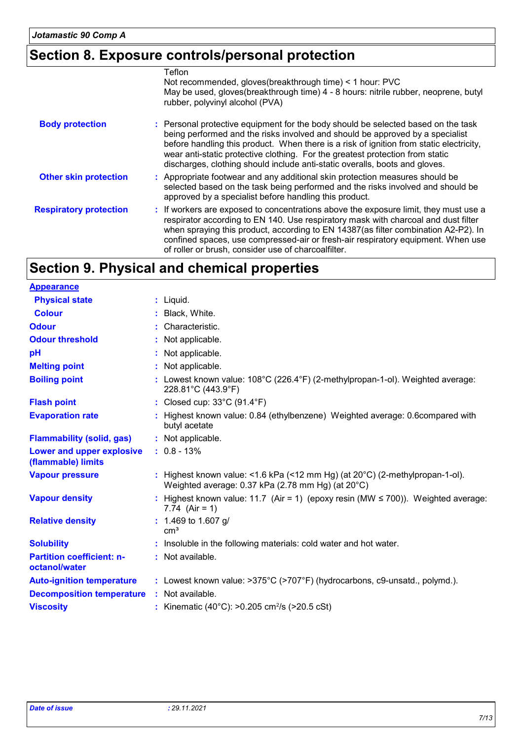# **Section 8. Exposure controls/personal protection**

|                               | Teflon                                                                                                                                                                                                                                                                                                                                                                                                                        |
|-------------------------------|-------------------------------------------------------------------------------------------------------------------------------------------------------------------------------------------------------------------------------------------------------------------------------------------------------------------------------------------------------------------------------------------------------------------------------|
|                               | Not recommended, gloves (breakthrough time) < 1 hour: PVC                                                                                                                                                                                                                                                                                                                                                                     |
|                               | May be used, gloves(breakthrough time) 4 - 8 hours: nitrile rubber, neoprene, butyl<br>rubber, polyvinyl alcohol (PVA)                                                                                                                                                                                                                                                                                                        |
| <b>Body protection</b>        | : Personal protective equipment for the body should be selected based on the task<br>being performed and the risks involved and should be approved by a specialist<br>before handling this product. When there is a risk of ignition from static electricity,<br>wear anti-static protective clothing. For the greatest protection from static<br>discharges, clothing should include anti-static overalls, boots and gloves. |
| <b>Other skin protection</b>  | : Appropriate footwear and any additional skin protection measures should be<br>selected based on the task being performed and the risks involved and should be<br>approved by a specialist before handling this product.                                                                                                                                                                                                     |
| <b>Respiratory protection</b> | : If workers are exposed to concentrations above the exposure limit, they must use a<br>respirator according to EN 140. Use respiratory mask with charcoal and dust filter<br>when spraying this product, according to EN 14387(as filter combination A2-P2). In<br>confined spaces, use compressed-air or fresh-air respiratory equipment. When use<br>of roller or brush, consider use of charcoalfilter.                   |

# **Section 9. Physical and chemical properties**

| <b>Appearance</b>                                 |                                                                                                                                             |
|---------------------------------------------------|---------------------------------------------------------------------------------------------------------------------------------------------|
| <b>Physical state</b>                             | $:$ Liquid.                                                                                                                                 |
| <b>Colour</b>                                     | : Black, White.                                                                                                                             |
| <b>Odour</b>                                      | : Characteristic.                                                                                                                           |
| <b>Odour threshold</b>                            | : Not applicable.                                                                                                                           |
| pH                                                | : Not applicable.                                                                                                                           |
| <b>Melting point</b>                              | : Not applicable.                                                                                                                           |
| <b>Boiling point</b>                              | : Lowest known value: $108^{\circ}$ C (226.4 $^{\circ}$ F) (2-methylpropan-1-ol). Weighted average:<br>228.81°C (443.9°F)                   |
| <b>Flash point</b>                                | : Closed cup: 33°C (91.4°F)                                                                                                                 |
| <b>Evaporation rate</b>                           | : Highest known value: 0.84 (ethylbenzene) Weighted average: 0.6compared with<br>butyl acetate                                              |
| <b>Flammability (solid, gas)</b>                  | : Not applicable.                                                                                                                           |
| Lower and upper explosive<br>(flammable) limits   | $: 0.8 - 13%$                                                                                                                               |
| <b>Vapour pressure</b>                            | : Highest known value: <1.6 kPa (<12 mm Hg) (at $20^{\circ}$ C) (2-methylpropan-1-ol).<br>Weighted average: 0.37 kPa (2.78 mm Hg) (at 20°C) |
| <b>Vapour density</b>                             | : Highest known value: 11.7 (Air = 1) (epoxy resin (MW $\leq$ 700)). Weighted average:<br>7.74 $(Air = 1)$                                  |
| <b>Relative density</b>                           | $: 1.469$ to 1.607 g/<br>cm <sup>3</sup>                                                                                                    |
| <b>Solubility</b>                                 | : Insoluble in the following materials: cold water and hot water.                                                                           |
| <b>Partition coefficient: n-</b><br>octanol/water | : Not available.                                                                                                                            |
| <b>Auto-ignition temperature</b>                  | : Lowest known value: >375°C (>707°F) (hydrocarbons, c9-unsatd., polymd.).                                                                  |
| <b>Decomposition temperature</b>                  | : Not available.                                                                                                                            |
| <b>Viscosity</b>                                  | : Kinematic (40°C): >0.205 cm <sup>2</sup> /s (>20.5 cSt)                                                                                   |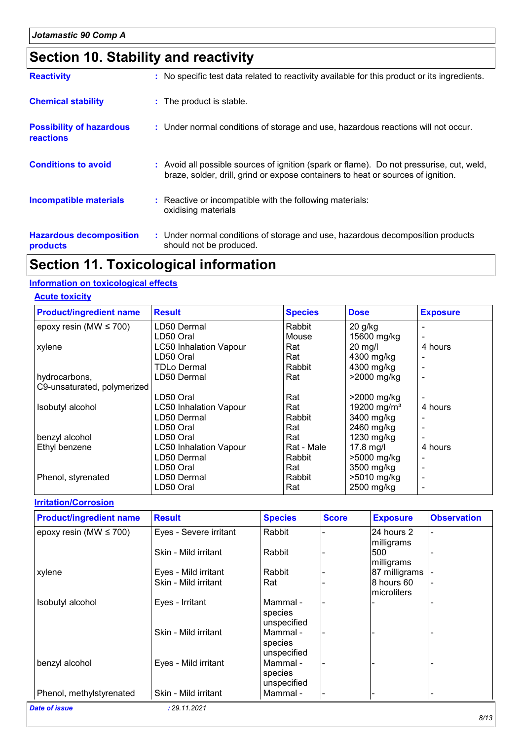# **Section 10. Stability and reactivity**

| <b>Reactivity</b>                            | : No specific test data related to reactivity available for this product or its ingredients.                                                                                 |
|----------------------------------------------|------------------------------------------------------------------------------------------------------------------------------------------------------------------------------|
| <b>Chemical stability</b>                    | : The product is stable.                                                                                                                                                     |
| <b>Possibility of hazardous</b><br>reactions | : Under normal conditions of storage and use, hazardous reactions will not occur.                                                                                            |
| <b>Conditions to avoid</b>                   | : Avoid all possible sources of ignition (spark or flame). Do not pressurise, cut, weld,<br>braze, solder, drill, grind or expose containers to heat or sources of ignition. |
| <b>Incompatible materials</b>                | : Reactive or incompatible with the following materials:<br>oxidising materials                                                                                              |
| <b>Hazardous decomposition</b><br>products   | : Under normal conditions of storage and use, hazardous decomposition products<br>should not be produced.                                                                    |

# **Section 11. Toxicological information**

#### **Information on toxicological effects**

#### **Acute toxicity**

| <b>Product/ingredient name</b> | <b>Result</b>                 | <b>Species</b> | <b>Dose</b>             | <b>Exposure</b> |
|--------------------------------|-------------------------------|----------------|-------------------------|-----------------|
| epoxy resin (MW $\leq$ 700)    | LD50 Dermal                   | Rabbit         | $20$ g/kg               |                 |
|                                | LD50 Oral                     | Mouse          | 15600 mg/kg             |                 |
| xylene                         | <b>LC50 Inhalation Vapour</b> | Rat            | $20$ mg/l               | 4 hours         |
|                                | LD50 Oral                     | Rat            | 4300 mg/kg              |                 |
|                                | <b>TDLo Dermal</b>            | Rabbit         | 4300 mg/kg              |                 |
| hydrocarbons,                  | LD50 Dermal                   | Rat            | >2000 mg/kg             |                 |
| C9-unsaturated, polymerized    |                               |                |                         |                 |
|                                | LD50 Oral                     | Rat            | >2000 mg/kg             |                 |
| Isobutyl alcohol               | <b>LC50 Inhalation Vapour</b> | Rat            | 19200 mg/m <sup>3</sup> | 4 hours         |
|                                | LD50 Dermal                   | Rabbit         | 3400 mg/kg              |                 |
|                                | LD50 Oral                     | Rat            | 2460 mg/kg              |                 |
| benzyl alcohol                 | LD50 Oral                     | Rat            | 1230 mg/kg              |                 |
| Ethyl benzene                  | <b>LC50 Inhalation Vapour</b> | Rat - Male     | $17.8$ mg/l             | 4 hours         |
|                                | LD50 Dermal                   | Rabbit         | >5000 mg/kg             |                 |
|                                | LD50 Oral                     | Rat            | 3500 mg/kg              |                 |
| Phenol, styrenated             | LD50 Dermal                   | <b>Rabbit</b>  | >5010 mg/kg             |                 |
|                                | LD50 Oral                     | Rat            | 2500 mg/kg              |                 |

#### **Irritation/Corrosion**

| <b>Product/ingredient name</b> | <b>Result</b>          | <b>Species</b>                     | <b>Score</b> | <b>Exposure</b>           | <b>Observation</b> |
|--------------------------------|------------------------|------------------------------------|--------------|---------------------------|--------------------|
| epoxy resin (MW $\leq$ 700)    | Eyes - Severe irritant | Rabbit                             |              | 24 hours 2<br>milligrams  |                    |
|                                | Skin - Mild irritant   | Rabbit                             |              | 500<br>milligrams         |                    |
| xylene                         | Eyes - Mild irritant   | Rabbit                             |              | 87 milligrams             |                    |
|                                | Skin - Mild irritant   | Rat                                |              | 8 hours 60<br>microliters |                    |
| Isobutyl alcohol               | Eyes - Irritant        | Mammal -<br>species<br>unspecified |              |                           |                    |
|                                | Skin - Mild irritant   | Mammal -<br>species<br>unspecified |              |                           |                    |
| benzyl alcohol                 | Eyes - Mild irritant   | Mammal -<br>species<br>unspecified |              |                           |                    |
| Phenol, methylstyrenated       | Skin - Mild irritant   | Mammal -                           |              |                           |                    |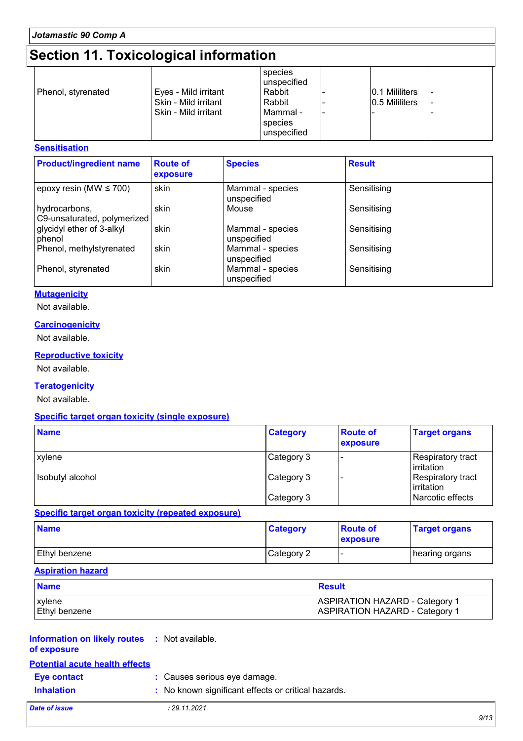# **Section 11. Toxicological information**

| Eyes - Mild irritant<br>Phenol, styrenated<br>Skin - Mild irritant<br>Skin - Mild irritant | species<br>lunspecified<br>Rabbit<br>Rabbit<br>Mammal -<br>species<br>l unspecified |  | 0.1 Mililiters<br>0.5 Mililiters |  |
|--------------------------------------------------------------------------------------------|-------------------------------------------------------------------------------------|--|----------------------------------|--|
|--------------------------------------------------------------------------------------------|-------------------------------------------------------------------------------------|--|----------------------------------|--|

#### **Sensitisation**

| <b>Product/ingredient name</b>               | <b>Route of</b><br>exposure | <b>Species</b>                  | <b>Result</b> |
|----------------------------------------------|-----------------------------|---------------------------------|---------------|
| epoxy resin (MW $\leq$ 700)                  | skin                        | Mammal - species<br>unspecified | Sensitising   |
| hydrocarbons,<br>C9-unsaturated, polymerized | skin                        | Mouse                           | Sensitising   |
| glycidyl ether of 3-alkyl<br>phenol          | skin                        | Mammal - species<br>unspecified | Sensitising   |
| Phenol, methylstyrenated                     | skin                        | Mammal - species<br>unspecified | Sensitising   |
| Phenol, styrenated                           | skin                        | Mammal - species<br>unspecified | Sensitising   |

#### **Mutagenicity**

Not available.

#### **Carcinogenicity**

Not available.

#### **Reproductive toxicity**

Not available.

#### **Teratogenicity**

Not available.

#### **Specific target organ toxicity (single exposure)**

| <b>Name</b>      | <b>Category</b> | <b>Route of</b><br>exposure | <b>Target organs</b>              |
|------------------|-----------------|-----------------------------|-----------------------------------|
| xylene           | Category 3      |                             | Respiratory tract<br>  irritation |
| Isobutyl alcohol | Category 3      |                             | Respiratory tract<br>  irritation |
|                  | Category 3      |                             | Narcotic effects                  |

#### **Specific target organ toxicity (repeated exposure)**

| <b>Name</b>   | <b>Category</b> | <b>Route of</b><br>exposure | <b>Target organs</b> |
|---------------|-----------------|-----------------------------|----------------------|
| Ethyl benzene | Category 2      | . .                         | hearing organs       |

#### **Aspiration hazard**

| <b>Name</b>   | Result                                 |
|---------------|----------------------------------------|
| <b>xylene</b> | <b>IASPIRATION HAZARD - Category 1</b> |
| Ethyl benzene | <b>IASPIRATION HAZARD - Category 1</b> |

#### **Information on likely routes :** Not available. **of exposure**

## **Eye contact :** Causes serious eye damage. **Potential acute health effects**

**Inhalation :** No known significant effects or critical hazards.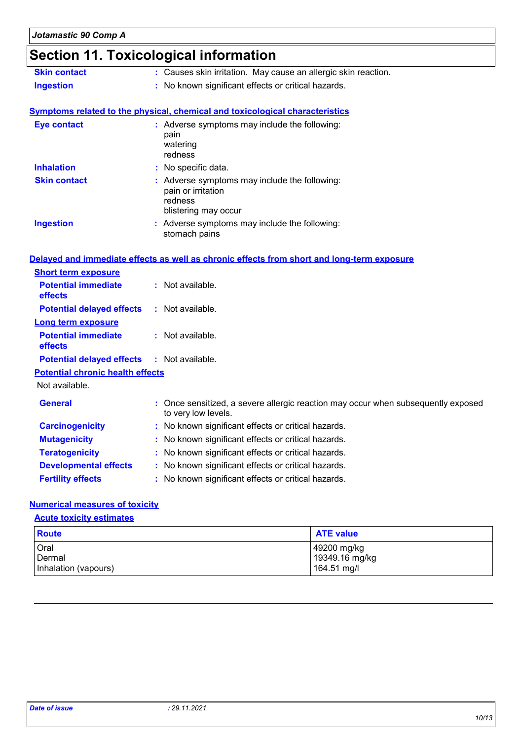# **Section 11. Toxicological information**

| : Causes skin irritation. May cause an allergic skin reaction.                                           |
|----------------------------------------------------------------------------------------------------------|
| : No known significant effects or critical hazards.                                                      |
|                                                                                                          |
| <b>Symptoms related to the physical, chemical and toxicological characteristics</b>                      |
| : Adverse symptoms may include the following:<br>pain<br>watering<br>redness                             |
| : No specific data.                                                                                      |
| : Adverse symptoms may include the following:<br>pain or irritation<br>redness<br>blistering may occur   |
| : Adverse symptoms may include the following:<br>stomach pains                                           |
| Delayed and immediate effects as well as chronic effects from short and long-term exposure               |
|                                                                                                          |
| : Not available.                                                                                         |
| : Not available.                                                                                         |
|                                                                                                          |
| : Not available.                                                                                         |
| : Not available.                                                                                         |
| <b>Potential chronic health effects</b>                                                                  |
|                                                                                                          |
| : Once sensitized, a severe allergic reaction may occur when subsequently exposed<br>to very low levels. |
| : No known significant effects or critical hazards.                                                      |
| No known significant effects or critical hazards.                                                        |
| : No known significant effects or critical hazards.                                                      |
| : No known significant effects or critical hazards.                                                      |
| No known significant effects or critical hazards.                                                        |
|                                                                                                          |

#### **Numerical measures of toxicity**

#### **Acute toxicity estimates**

| <b>Route</b>         | <b>ATE value</b> |
|----------------------|------------------|
| Oral                 | 49200 mg/kg      |
| Dermal               | 19349.16 mg/kg   |
| Inhalation (vapours) | 164.51 mg/l      |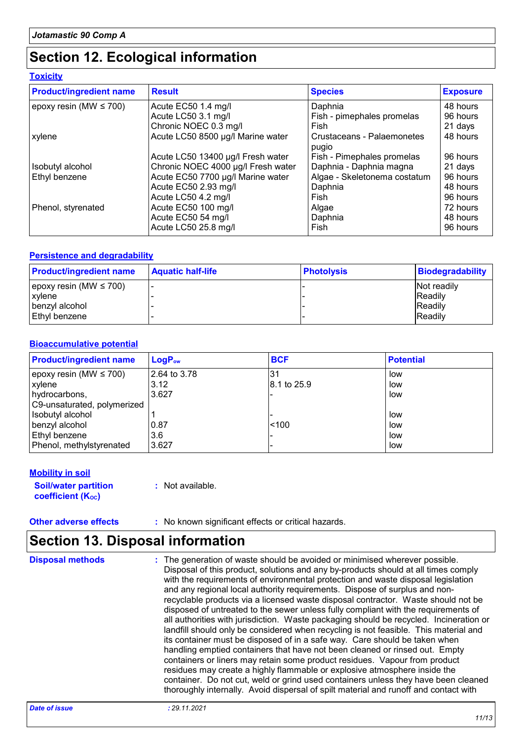## **Section 12. Ecological information**

|  |  | <b>Toxicity</b> |  |  |
|--|--|-----------------|--|--|
|--|--|-----------------|--|--|

| <b>Product/ingredient name</b> | <b>Result</b>                      | <b>Species</b>                      | <b>Exposure</b> |
|--------------------------------|------------------------------------|-------------------------------------|-----------------|
| epoxy resin (MW $\leq$ 700)    | Acute EC50 1.4 mg/l                | Daphnia                             | 48 hours        |
|                                | Acute LC50 3.1 mg/l                | Fish - pimephales promelas          | 96 hours        |
|                                | Chronic NOEC 0.3 mg/l              | Fish                                | 21 days         |
| xylene                         | Acute LC50 8500 µg/l Marine water  | Crustaceans - Palaemonetes<br>pugio | 48 hours        |
|                                | Acute LC50 13400 µg/l Fresh water  | Fish - Pimephales promelas          | 96 hours        |
| Isobutyl alcohol               | Chronic NOEC 4000 µg/l Fresh water | Daphnia - Daphnia magna             | 21 days         |
| <b>Ethyl benzene</b>           | Acute EC50 7700 µg/l Marine water  | Algae - Skeletonema costatum        | 96 hours        |
|                                | Acute EC50 2.93 mg/l               | Daphnia                             | 48 hours        |
|                                | Acute LC50 4.2 mg/l                | Fish                                | 96 hours        |
| Phenol, styrenated             | Acute EC50 100 mg/l                | Algae                               | 72 hours        |
|                                | Acute EC50 54 mg/l                 | Daphnia                             | 48 hours        |
|                                | Acute LC50 25.8 mg/l               | Fish                                | 96 hours        |

#### **Persistence and degradability**

| <b>Product/ingredient name</b> | <b>Aquatic half-life</b> | <b>Photolysis</b> | <b>Biodegradability</b> |
|--------------------------------|--------------------------|-------------------|-------------------------|
| epoxy resin (MW $\leq$ 700)    |                          |                   | Not readily             |
| xylene                         |                          |                   | <b>IReadily</b>         |
| benzvl alcohol                 |                          |                   | <b>IReadily</b>         |
| Ethyl benzene                  |                          |                   | <b>Readily</b>          |

#### **Bioaccumulative potential**

| <b>Product/ingredient name</b>  | $LogP_{ow}$  | <b>BCF</b>  | <b>Potential</b> |
|---------------------------------|--------------|-------------|------------------|
| $ epoxy$ resin (MW $\leq 700$ ) | 2.64 to 3.78 | 31          | low              |
| xylene                          | 3.12         | 8.1 to 25.9 | low              |
| hydrocarbons,                   | 3.627        |             | low              |
| C9-unsaturated, polymerized     |              |             |                  |
| Isobutyl alcohol                |              |             | low              |
| benzyl alcohol                  | 10.87        | < 100       | low              |
| Ethyl benzene                   | 3.6          |             | low              |
| Phenol, methylstyrenated        | 3.627        |             | low              |

#### **Mobility in soil**

**Soil/water partition coefficient (Koc)** 

**:** Not available.

**Other adverse effects** : No known significant effects or critical hazards.

### **Section 13. Disposal information**

The generation of waste should be avoided or minimised wherever possible. Disposal of this product, solutions and any by-products should at all times comply with the requirements of environmental protection and waste disposal legislation and any regional local authority requirements. Dispose of surplus and nonrecyclable products via a licensed waste disposal contractor. Waste should not be disposed of untreated to the sewer unless fully compliant with the requirements of all authorities with jurisdiction. Waste packaging should be recycled. Incineration or landfill should only be considered when recycling is not feasible. This material and its container must be disposed of in a safe way. Care should be taken when handling emptied containers that have not been cleaned or rinsed out. Empty containers or liners may retain some product residues. Vapour from product residues may create a highly flammable or explosive atmosphere inside the container. Do not cut, weld or grind used containers unless they have been cleaned thoroughly internally. Avoid dispersal of spilt material and runoff and contact with **Disposal methods :**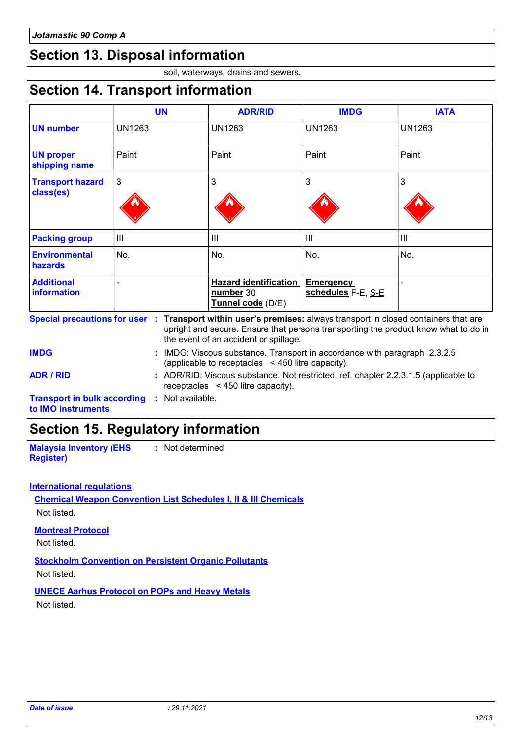## **Section 13. Disposal information**

soil, waterways, drains and sewers.

### **Section 14. Transport information**

|                                         | <b>UN</b>     | <b>ADR/RID</b>                                                 | <b>IMDG</b>                     | <b>IATA</b>    |
|-----------------------------------------|---------------|----------------------------------------------------------------|---------------------------------|----------------|
| <b>UN number</b>                        | <b>UN1263</b> | UN1263                                                         | <b>UN1263</b>                   | <b>UN1263</b>  |
| <b>UN proper</b><br>shipping name       | Paint         | Paint                                                          | Paint                           | Paint          |
| <b>Transport hazard</b><br>class(es)    | 3             | 3                                                              | 3                               | 3              |
| <b>Packing group</b>                    | Ш             | $\mathbf{III}$                                                 | $\mathbf{III}$                  | $\mathbf{III}$ |
| <b>Environmental</b><br>hazards         | No.           | No.                                                            | No.                             | No.            |
| <b>Additional</b><br><b>information</b> |               | <b>Hazard identification</b><br>number 30<br>Tunnel code (D/E) | Emergency<br>schedules F-E, S-E |                |

| <b>IMDG</b>                                              | : IMDG: Viscous substance. Transport in accordance with paragraph 2.3.2.5<br>(applicable to receptacles <450 litre capacity).  |
|----------------------------------------------------------|--------------------------------------------------------------------------------------------------------------------------------|
| ADR / RID                                                | : ADR/RID: Viscous substance. Not restricted, ref. chapter 2.2.3.1.5 (applicable to<br>receptacles $\leq$ 450 litre capacity). |
| <b>Transport in bulk according</b><br>to IMO instruments | : Not available.                                                                                                               |

### **Section 15. Regulatory information**

**Malaysia Inventory (EHS Register)**

**:** Not determined

#### **International regulations**

**Chemical Weapon Convention List Schedules I, II & III Chemicals** Not listed.

#### **Montreal Protocol**

Not listed.

**Stockholm Convention on Persistent Organic Pollutants** Not listed.

**UNECE Aarhus Protocol on POPs and Heavy Metals**

Not listed.